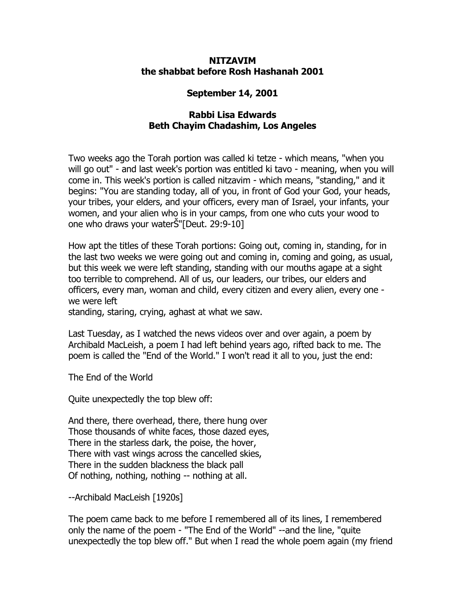## **NITZAVIM the shabbat before Rosh Hashanah 2001**

## **September 14, 2001**

## **Rabbi Lisa Edwards Beth Chayim Chadashim, Los Angeles**

Two weeks ago the Torah portion was called ki tetze - which means, "when you will go out" - and last week's portion was entitled ki tavo - meaning, when you will come in. This week's portion is called nitzavim - which means, "standing," and it begins: "You are standing today, all of you, in front of God your God, your heads, your tribes, your elders, and your officers, every man of Israel, your infants, your women, and your alien who is in your camps, from one who cuts your wood to one who draws your waterŠ"[Deut. 29:9-10]

How apt the titles of these Torah portions: Going out, coming in, standing, for in the last two weeks we were going out and coming in, coming and going, as usual, but this week we were left standing, standing with our mouths agape at a sight too terrible to comprehend. All of us, our leaders, our tribes, our elders and officers, every man, woman and child, every citizen and every alien, every one we were left

standing, staring, crying, aghast at what we saw.

Last Tuesday, as I watched the news videos over and over again, a poem by Archibald MacLeish, a poem I had left behind years ago, rifted back to me. The poem is called the "End of the World." I won't read it all to you, just the end:

The End of the World

Quite unexpectedly the top blew off:

And there, there overhead, there, there hung over Those thousands of white faces, those dazed eyes, There in the starless dark, the poise, the hover, There with vast wings across the cancelled skies, There in the sudden blackness the black pall Of nothing, nothing, nothing -- nothing at all.

--Archibald MacLeish [1920s]

The poem came back to me before I remembered all of its lines, I remembered only the name of the poem - "The End of the World" --and the line, "quite unexpectedly the top blew off." But when I read the whole poem again (my friend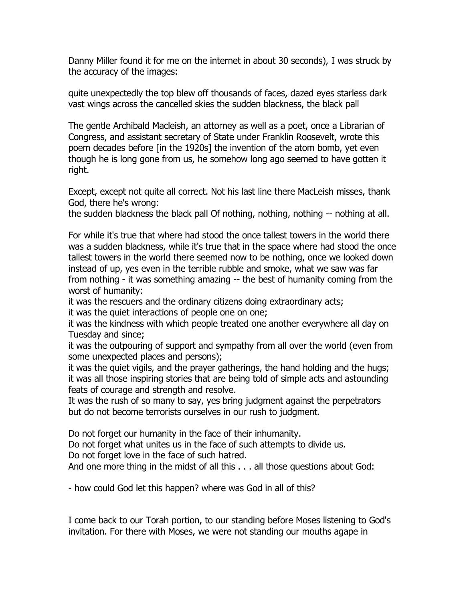Danny Miller found it for me on the internet in about 30 seconds), I was struck by the accuracy of the images:

quite unexpectedly the top blew off thousands of faces, dazed eyes starless dark vast wings across the cancelled skies the sudden blackness, the black pall

The gentle Archibald Macleish, an attorney as well as a poet, once a Librarian of Congress, and assistant secretary of State under Franklin Roosevelt, wrote this poem decades before [in the 1920s] the invention of the atom bomb, yet even though he is long gone from us, he somehow long ago seemed to have gotten it right.

Except, except not quite all correct. Not his last line there MacLeish misses, thank God, there he's wrong:

the sudden blackness the black pall Of nothing, nothing, nothing -- nothing at all.

For while it's true that where had stood the once tallest towers in the world there was a sudden blackness, while it's true that in the space where had stood the once tallest towers in the world there seemed now to be nothing, once we looked down instead of up, yes even in the terrible rubble and smoke, what we saw was far from nothing - it was something amazing -- the best of humanity coming from the worst of humanity:

it was the rescuers and the ordinary citizens doing extraordinary acts;

it was the quiet interactions of people one on one;

it was the kindness with which people treated one another everywhere all day on Tuesday and since;

it was the outpouring of support and sympathy from all over the world (even from some unexpected places and persons);

it was the quiet vigils, and the prayer gatherings, the hand holding and the hugs; it was all those inspiring stories that are being told of simple acts and astounding feats of courage and strength and resolve.

It was the rush of so many to say, yes bring judgment against the perpetrators but do not become terrorists ourselves in our rush to judgment.

Do not forget our humanity in the face of their inhumanity.

Do not forget what unites us in the face of such attempts to divide us.

Do not forget love in the face of such hatred.

And one more thing in the midst of all this . . . all those questions about God:

- how could God let this happen? where was God in all of this?

I come back to our Torah portion, to our standing before Moses listening to God's invitation. For there with Moses, we were not standing our mouths agape in